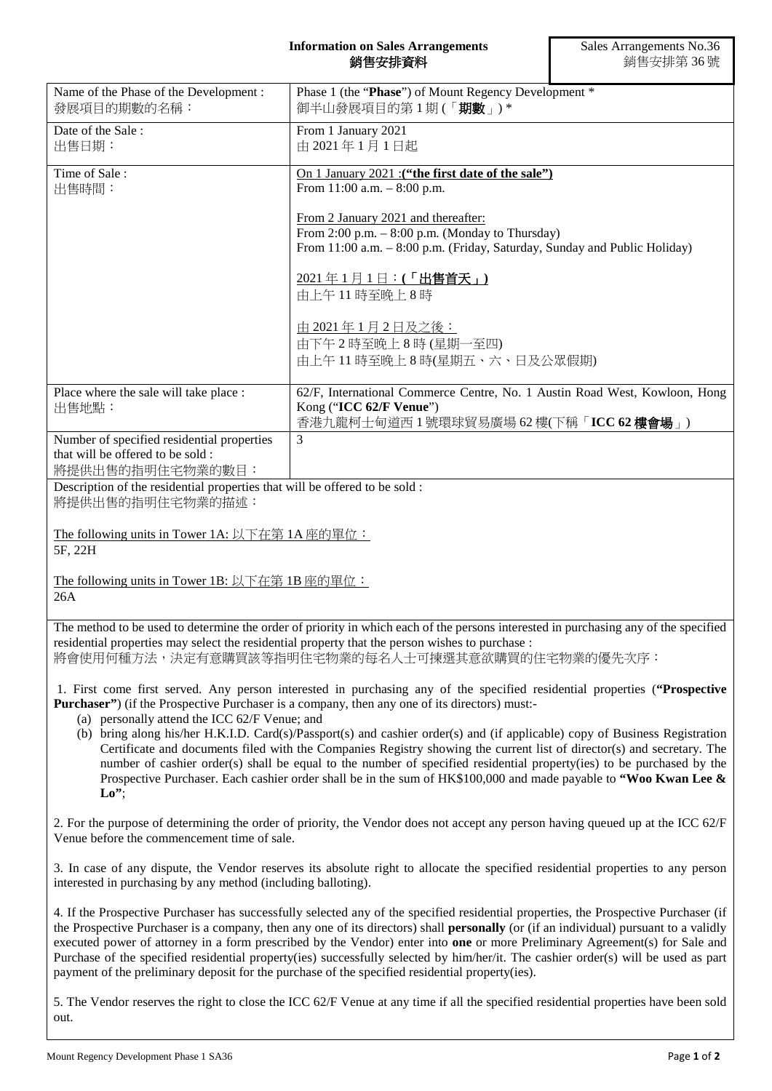## **Information on Sales Arrangements** 銷售安排資料

| Name of the Phase of the Development:<br>發展項目的期數的名稱:                                                                                                                                                                                                                                      | Phase 1 (the "Phase") of Mount Regency Development *<br>御半山發展項目的第1期(「期數」)*                                                                                                                                                                                                                                                                                                                                                                                                                                                                                                                                                                           |
|-------------------------------------------------------------------------------------------------------------------------------------------------------------------------------------------------------------------------------------------------------------------------------------------|------------------------------------------------------------------------------------------------------------------------------------------------------------------------------------------------------------------------------------------------------------------------------------------------------------------------------------------------------------------------------------------------------------------------------------------------------------------------------------------------------------------------------------------------------------------------------------------------------------------------------------------------------|
| Date of the Sale:<br>出售日期:                                                                                                                                                                                                                                                                | From 1 January 2021<br>由 2021年1月1日起                                                                                                                                                                                                                                                                                                                                                                                                                                                                                                                                                                                                                  |
| Time of Sale:<br>出售時間:                                                                                                                                                                                                                                                                    | On 1 January 2021 : ("the first date of the sale")<br>From $11:00$ a.m. $-8:00$ p.m.                                                                                                                                                                                                                                                                                                                                                                                                                                                                                                                                                                 |
|                                                                                                                                                                                                                                                                                           | From 2 January 2021 and thereafter:<br>From $2:00$ p.m. $-8:00$ p.m. (Monday to Thursday)<br>From 11:00 a.m. - 8:00 p.m. (Friday, Saturday, Sunday and Public Holiday)                                                                                                                                                                                                                                                                                                                                                                                                                                                                               |
|                                                                                                                                                                                                                                                                                           | <u> 2021年1月1日:(「出售首天」)</u><br>由上午11時至晚上8時                                                                                                                                                                                                                                                                                                                                                                                                                                                                                                                                                                                                            |
|                                                                                                                                                                                                                                                                                           | 由 2021年1月2日及之後:<br>由下午2時至晚上8時(星期一至四)<br>由上午11時至晚上8時(星期五、六、日及公眾假期)                                                                                                                                                                                                                                                                                                                                                                                                                                                                                                                                                                                    |
| Place where the sale will take place :<br>出售地點:                                                                                                                                                                                                                                           | 62/F, International Commerce Centre, No. 1 Austin Road West, Kowloon, Hong<br>Kong ("ICC 62/F Venue")<br>香港九龍柯士甸道西1號環球貿易廣場 62樓(下稱「ICC 62樓會場」)                                                                                                                                                                                                                                                                                                                                                                                                                                                                                                        |
| Number of specified residential properties<br>that will be offered to be sold:<br>將提供出售的指明住宅物業的數目:                                                                                                                                                                                        | 3                                                                                                                                                                                                                                                                                                                                                                                                                                                                                                                                                                                                                                                    |
| Description of the residential properties that will be offered to be sold :<br>將提供出售的指明住宅物業的描述:                                                                                                                                                                                           |                                                                                                                                                                                                                                                                                                                                                                                                                                                                                                                                                                                                                                                      |
| The following units in Tower 1A: 以下在第 1A 座的單位:<br>5F, 22H                                                                                                                                                                                                                                 |                                                                                                                                                                                                                                                                                                                                                                                                                                                                                                                                                                                                                                                      |
| The following units in Tower 1B: 以下在第 1B 座的單位:<br>26A                                                                                                                                                                                                                                     |                                                                                                                                                                                                                                                                                                                                                                                                                                                                                                                                                                                                                                                      |
| The method to be used to determine the order of priority in which each of the persons interested in purchasing any of the specified<br>residential properties may select the residential property that the person wishes to purchase :<br>將會使用何種方法,決定有意購買該等指明住宅物業的每名人士可揀選其意欲購買的住宅物業的優先次序: |                                                                                                                                                                                                                                                                                                                                                                                                                                                                                                                                                                                                                                                      |
| 1. First come first served. Any person interested in purchasing any of the specified residential properties ("Prospective<br><b>Purchaser</b> ") (if the Prospective Purchaser is a company, then any one of its directors) must:-<br>(a) personally attend the ICC 62/F Venue; and       |                                                                                                                                                                                                                                                                                                                                                                                                                                                                                                                                                                                                                                                      |
| $\mathbf{Lo}^{\prime\prime}$                                                                                                                                                                                                                                                              | (b) bring along his/her H.K.I.D. Card(s)/Passport(s) and cashier order(s) and (if applicable) copy of Business Registration<br>Certificate and documents filed with the Companies Registry showing the current list of director(s) and secretary. The<br>number of cashier order(s) shall be equal to the number of specified residential property(ies) to be purchased by the<br>Prospective Purchaser. Each cashier order shall be in the sum of HK\$100,000 and made payable to "Woo Kwan Lee $\&$                                                                                                                                                |
| Venue before the commencement time of sale.                                                                                                                                                                                                                                               | 2. For the purpose of determining the order of priority, the Vendor does not accept any person having queued up at the ICC 62/F                                                                                                                                                                                                                                                                                                                                                                                                                                                                                                                      |
| interested in purchasing by any method (including balloting).                                                                                                                                                                                                                             | 3. In case of any dispute, the Vendor reserves its absolute right to allocate the specified residential properties to any person                                                                                                                                                                                                                                                                                                                                                                                                                                                                                                                     |
|                                                                                                                                                                                                                                                                                           | 4. If the Prospective Purchaser has successfully selected any of the specified residential properties, the Prospective Purchaser (if<br>the Prospective Purchaser is a company, then any one of its directors) shall personally (or (if an individual) pursuant to a validly<br>executed power of attorney in a form prescribed by the Vendor) enter into one or more Preliminary Agreement(s) for Sale and<br>Purchase of the specified residential property(ies) successfully selected by him/her/it. The cashier order(s) will be used as part<br>payment of the preliminary deposit for the purchase of the specified residential property(ies). |

5. The Vendor reserves the right to close the ICC 62/F Venue at any time if all the specified residential properties have been sold out.